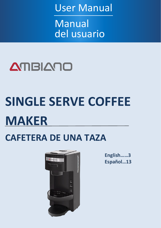User Manual

Manual del usuario



# **SINGLE SERVE COFFEE MAKER**

## **CAFETERA DE UNA TAZA**



**English……3 Español…13**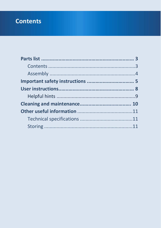### **Contents**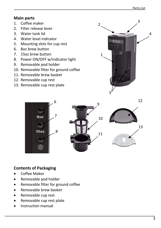12

#### **Main parts**

- 1. Coffee maker
- 2. Filter release lever
- 3. Water tank lid
- 4. Water level indicator
- 5. Mounting slots for cup rest
- 6. 8oz brew button
- 7. 15oz brew button
- 8. Power ON/OFF w/indicator light
- 9. Removable pod holder
- 10. Removable filter for ground coffee
- 11. Removable brew basket
- 12. Removable cup rest
- 13. Removable cup rest plate









#### **Contents of Packaging**

- Coffee Maker
- Removable pod holder
- Removable filter for ground coffee
- Removable brew basket
- Removable cup rest
- Removable cup rest plate
- Instruction manual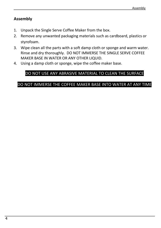#### **Assembly**

- 1. Unpack the Single Serve Coffee Maker from the box.
- 2. Remove any unwanted packaging materials such as cardboard, plastics or styrofoam.
- 3. Wipe clean all the parts with a soft damp cloth or sponge and warm water. Rinse and dry thoroughly. DO NOT IMMERSE THE SINGLE SERVE COFFEE MAKER BASE IN WATER OR ANY OTHER LIQUID.
- 4. Using a damp cloth or sponge, wipe the coffee maker base.

#### DO NOT USE ANY ABRASIVE MATERIAL TO CLEAN THE SURFACE

#### DO NOT IMMERSE THE COFFEE MAKER BASE INTO WATER AT ANY TIME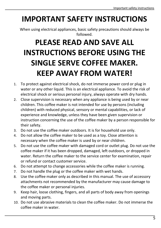### **IMPORTANT SAFETY INSTRUCTIONS**

When using electrical appliances, basic safety precautions should always be followed.

## **PLEASE READ AND SAVE ALL INSTRUCTIONS BEFORE USING THE SINGLE SERVE COFFEE MAKER. KEEP AWAY FROM WATER!**

- 1. To protect against electrical shock, do not immerse power cord or plug in water or any other liquid. This is an electrical appliance. To avoid the risk of electrical shock or serious personal injury, always operate with dry hands.
- 2. Close supervision is necessary when any appliance is being used by or near children. This coffee maker is not intended for use by persons (including children) with reduced physical, sensory or mental capabilities, or lack of experience and knowledge, unless they have been given supervision or instruction concerning the use of the coffee maker by a person responsible for their safety.
- 3. Do not use the coffee maker outdoors. It is for household use only.
- 4. Do not allow the coffee maker to be used as a toy. Close attention is necessary when the coffee maker is used by or near children.
- 5. Do not use the coffee maker with damaged cord or outlet plug. Do not use the coffee maker if it has been dropped, damaged, left outdoors, or dropped in water. Return the coffee maker to the service center for examination, repair or refund or contact customer service.
- 6. Do not attempt to change accessories while the coffee maker is running.
- 7. Do not handle the plug or the coffee maker with wet hands.
- 8. Use the coffee maker only as described in this manual. The use of accessory attachments not recommended by the manufacturer may cause damage to the coffee maker or personal injuries.
- 9. Keep hair, loose clothing, fingers, and all parts of body away from openings and moving parts.
- 10. Do not use abrasive materials to clean the coffee maker. Do not immerse the coffee maker in water.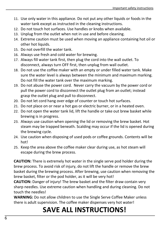- 11. Use only water in this appliance. Do not put any other liquids or foods in the water tank except as instructed in the cleaning instructions.
- 12. Do not touch hot surfaces. Use handles or knobs when available.
- 13. Unplug from the outlet when not in use and before cleaning.
- 14. Extreme caution must be used when moving an appliance containing hot oil or other hot liquids.
- 15. Do not overfill the water tank.
- 16. Always use fresh and cold water for brewing.
- 17. Always fill water tank first, then plug the cord into the wall outlet. To disconnect, always turn OFF first, then unplug from wall outlet.
- 18. Do not use the coffee maker with an empty or under filled water tank. Make sure the water level is always between the minimum and maximum marking. Do not fill the water tank over the maximum marking.
- 19. Do not abuse the power cord. Never carry the vacuum by the power cord or pull the power cord to disconnect the outlet plug from an outlet; instead grasp the outlet plug and pull to disconnect.
- 20. Do not let cord hang over edge of counter or touch hot surfaces.
- 21. Do not place on or near a hot gas or electric burner, or in a heated oven.
- 22. Do not open the water tank lid, lift the handle or take out brew basket while brewing is in progress.
- 23. Always use caution when opening the lid or removing the brew basket. Hot steam may be trapped beneath. Scalding may occur if the lid is opened during the brewing cycle.
- 24. Use caution when disposing of used pods or coffee grounds. Contents will be hot!
- 25. Keep the area above the coffee maker clear during use, as hot steam will escape during the brew process.

**CAUTION:** There is extremely hot water in the single serve pod holder during the brew process. To avoid risk of injury, do not lift the handle or remove the brew basket during the brewing process. After brewing, use caution when removing the brew basket, filter or the pod holder, as it will be very hot!

**CAUTION:** Danger of injury! The brew basket and the filter draw contain very sharp needles. Use extreme caution when handling and during cleaning. Do not touch the needles!

**WARNING:** Do not allow children to use the Single Serve Coffee Maker unless there is adult supervision. The coffee maker dispenses very hot water!

### **SAVE ALL INSTRUCTIONS!**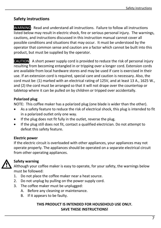#### **Safety instructions**

WARNING: Read and understand all instructions. Failure to follow all instructions listed below may result in electric shock, fire or serious personal injury. The warnings, cautions, and instructions discussed in this instruction manual cannot cover all possible conditions and situations that may occur. It must be understood by the operator that common sense and caution are a factor which cannot be built into this product, but must be supplied by the operator.

CAUTION: A short power supply cord is provided to reduce the risk of personal injury resulting from becoming entangled in or tripping over a longer cord. Extension cords are available from local hardware stores and may be used if care is exercised in their use. If an extension cord is required, special care and caution is necessary. Also, the cord must be: (1) marked with an electrical rating of 125V, and at least 13 A., 1625 W., and (2) the cord must be arranged so that it will not drape over the countertop or tabletop where it can be pulled on by children or tripped over accidentally.

#### **Polarized plug**

NOTE: This coffee maker has a polarized plug (one blade is wider than the other).

- As a safety feature to reduce the risk of electrical shock, this plug is intended to fit in a polarized outlet only one way.
- If the plug does not fit fully in the outlet, reverse the plug.
- If the plug still does not fit, contact a qualified electrician. Do not attempt to defeat this safety feature.

#### **Electric power**

If the electric circuit is overloaded with other appliances, your appliances may not operate properly. The appliances should be operated on a separate electrical circuit from other operating appliances.



#### **Safety warning**

Although your coffee maker is easy to operate, for your safety, the warnings below must be followed:

- 1. Do not place the coffee maker near a heat source.
- 2. Do not unplug by pulling on the power supply cord.
- 3. The coffee maker must be unplugged:
	- A. Before any cleaning or maintenance.
	- B. If it appears to be faulty.

#### **THIS PRODUCT IS INTENDED FOR HOUSEHOLD USE ONLY. SAVE THESE INSTRUCTIONS!**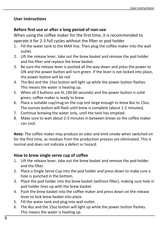#### **User instructions**

#### **Before first use or after a long period of non-use**

When using the coffee maker for the first time, it is recommended to operate it for 2-3 full cycles without the filter or pod holder

- 1. Fill the water tank to the MAX line. Then plug the coffee maker into the wall outlet.
- 2. Lift the release lever, take out the brew basket and remove the pod holder and the filter and replace the brew basket.
- 3. Be sure the release lever is pushed all the way down and press the power to ON and the power button will turn green. If the lever is not locked into place, the power button will be red.
- 4. The 8oz and the 15oz button will light up while the power button flashes. This means the water is heating up.
- 5. When all 3 buttons are lit, (30-60 seconds) and the power button is solid green, coffee maker is ready to brew.
- 6. Place a suitable cup/mug on the cup rest large enough to brew 8oz to 15oz. The ounces button will flash until brew is complete (about 1-2 minutes).
- 7. Continue brewing the water only, until the tank has emptied.
- 8. Make sure to wait about 2-3 minutes in between brews so the coffee maker can cool.

**Note:** The coffee maker may produce an odor and emit smoke when switched on for the first time, as residues from the production process are eliminated. This is normal and does not indicate a defect or hazard.

#### **How to brew single serve cup of coffee**

- 1. Lift the release lever, take out the brew basket and remove the pod holder and the filter.
- 2. Place a Single Serve Cup into the pod holder and press down to make sure a hole is punched in the bottom.
- 3. Place the pod holder into the brew basket (without filter), making sure hole in pod holder lines up with the brew basket.
- 4. Push the brew basket into the coffee maker and press down on the release lever to lock brew basket into place.
- 5. Fill the water tank and plug into wall outlet.
- 6. The 8oz and the 15oz button will light up while the power button flashes. This means the water is heating up.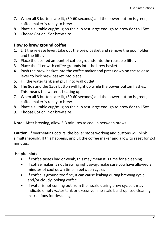- 7. When all 3 buttons are lit, (30-60 seconds) and the power button is green, coffee maker is ready to brew.
- 8. Place a suitable cup/mug on the cup rest large enough to brew 8oz to 15oz.
- 9. Choose 8oz or 15oz brew size.

#### **How to brew ground coffee**

- 1. Lift the release lever, take out the brew basket and remove the pod holder and the filter.
- 2. Place the desired amount of coffee grounds into the reusable filter.
- 3. Place the filter with coffee grounds into the brew basket.
- 4. Push the brew basket into the coffee maker and press down on the release lever to lock brew basket into place.
- 5. Fill the water tank and plug into wall outlet.
- 6. The 8oz and the 15oz button will light up while the power button flashes. This means the water is heating up.
- 7. When all 3 buttons are lit, (30-60 seconds) and the power button is green, coffee maker is ready to brew.
- 8. Place a suitable cup/mug on the cup rest large enough to brew 8oz to 15oz.
- 9. Choose 8oz or 15oz brew size.

**Note:** After brewing, allow 2-3 minutes to cool in between brews.

**Caution:** If overheating occurs, the boiler stops working and buttons will blink simultaneously. If this happens, unplug the coffee maker and allow to reset for 2-3 minutes.

#### **Helpful hints**

- If coffee tastes bad or weak, this may mean it is time for a cleaning
- If coffee maker is not brewing right away, make sure you have allowed 2 minutes of cool down time in between cycles
- If coffee is ground too fine, it can cause leaking during brewing cycle and/or cloudy looking coffee
- If water is not coming out from the nozzle during brew cycle, it may indicate empty water tank or excessive lime scale build-up, see cleaning instructions for descaling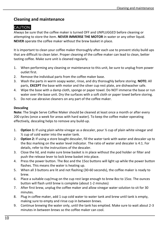#### **Cleaning and maintenance**

### CAUTION:

Always be sure that the coffee maker is turned OFF and UNPLUGGED before cleaning or attempting to store the item. **NEVER IMMERSE THE MOTOR** in water or any other liquid. **NEVER** operate the coffee maker without the brew basket in place.

It is important to clean your coffee maker thoroughly after each use to prevent sticky build ups that are difficult to clean later. Proper cleaning of the coffee maker can lead to clean, better tasting coffee. Make sure unit is cleaned regularly.

- 1. When performing any cleaning or maintenance to this unit, be sure to unplug from power outlet first.
- 2. Remove the individual parts from the coffee maker base.
- 3. Wash the parts in warm soapy water, rinse, and dry thoroughly before storing. **NOTE:** All parts, **EXCEPT** the base with motor and the silver cup rest plate, are dishwasher safe.
- 4. Wipe the base with a damp cloth, sponge or paper towel. Do NOT immerse the base or run water over the base unit. Dry the surfaces with a soft cloth or paper towel before storing.
- 5. Do not use abrasive cleaners on any part of the coffee maker.

#### **Descaling**

**Note:** The Single Serve Coffee Maker should be cleaned at least once a month or after every 200 cycles (once a week for areas with hard water). To keep the coffee maker operating effectively, descaling helps to remove any build-up.

- 1. **Option 1:** If using plain white vinegar as a descaler, pour ½ cup of plain white vinegar and ½ cup of cold water into the water tank.
- 2. **Option 2:** If using a store bought descaler, fill the water tank with water and descaler up to the 8oz marking on the water level indicator. The ratio of water and descaler is 4:1. For details, refer to the instructions of the descaler.
- 3. Close the lid, and make sure brew basket is in place without the pod holder or filter and push the release lever to lock brew basket into place.
- 4. Press the power button. The 8oz and the 15oz buttons will light up while the power button flashes. This means the water is heating up.
- 5. When all 3 buttons are lit and not flashing (30-60 seconds), the coffee maker is ready to brew.
- 6. Place a suitable cup/mug on the cup rest large enough to brew 8oz to 15oz. The ounces button will flash until brew is complete (about 1-2 minutes)
- 7. After first brew, unplug the coffee maker and allow vinegar water solution to sit for 30 minutes.
- 8. Plug in coffee maker, add 1 cup cold water to water tank and brew until tank is empty, making sure to empty and rinse cup in between brews.
- 9. Continue brewing the water only, until the tank has emptied. Make sure to wait about 2-3 minutes in between brews so the coffee maker can cool.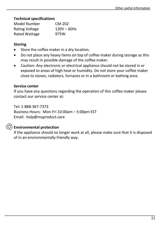#### **Technical specifications**

| Model Number          | CM-202        |
|-----------------------|---------------|
| <b>Rating Voltage</b> | $120V - 60Hz$ |
| Rated Wattage         | 975W          |

#### **Storing**

- Store the coffee maker in a dry location.
- Do not place any heavy items on top of coffee maker during storage as this may result in possible damage of the coffee maker.
- Caution: Any electronic or electrical appliance should not be stored in or exposed to areas of high heat or humidity. Do not store your coffee maker close to stoves, radiators, furnaces or in a bathroom or bathing area.

#### **Service center**

If you have any questions regarding the operation of this coffee maker please contact our service center at:

Tel: 1-888-367-7373 Business Hours: Mon-Fri 10:00am – 5:00pm EST Email: help@myproduct.care

#### **Environmental protection**

If the appliance should no longer work at all, please make sure that it is disposed of in an environmentally friendly way.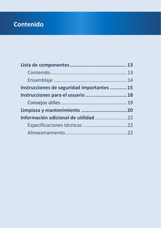### **Contenido**

| Instrucciones de seguridad importantes 15 |  |
|-------------------------------------------|--|
| Instrucciones para el usuario  18         |  |
|                                           |  |
|                                           |  |
|                                           |  |
|                                           |  |
|                                           |  |
|                                           |  |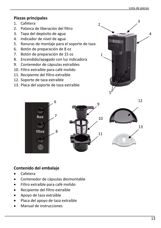#### **Piezas principales**

- 1. Cafetera
- 2. Palanca de liberación del filtro
- 3. Tapa del depósito de agua
- 4. Indicador de nivel de agua
- 5. Ranuras de montaje para el soporte de taza
- 6. Botón de preparación de 8 oz
- 7. Botón de preparación de 15 oz
- 8. Encendido/apagado con luz indicadora
- 9. Contenedor de cápsulas extraíbles
- 10. Filtro extraíble para café molido
- 11. Recipiente del filtro extraíble
- 12. Soporte de taza extraíble
- 13. Placa del soporte de taza extraíble









12

#### **Contenido del embalaje**

- Cafetera
- Contenedor de cápsulas desmontable
- Filtro extraíble para café molido
- Recipiente del filtro extraíble
- Apoyo de taza extraíble
- Placa del apoyo de taza extraíble
- Manual de instrucciones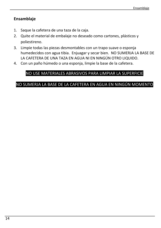#### **Ensamblaje**

- 1. Saque la cafetera de una taza de la caja.
- 2. Quite el material de embalaje no deseado como cartones, plásticos y poliestireno.
- 3. Limpie todas las piezas desmontables con un trapo suave o esponja humedecidos con agua tibia. Enjuagar y secar bien. NO SUMERJA LA BASE DE LA CAFETERA DE UNA TAZA EN AGUA NI EN NINGÚN OTRO LIQUIDO.
- 4. Con un paño húmedo o una esponja, limpie la base de la cafetera.

### NO USE MATERIALES ABRASIVOS PARA LIMPIAR LA SUPERFICIE

#### NO SUMERJA LA BASE DE LA CAFETERA EN AGUA EN NINGÚN MOMENTO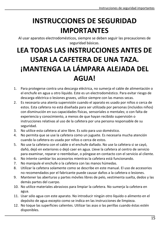### **INSTRUCCIONES DE SEGURIDAD IMPORTANTES**

Al usar aparatos electrodomésticos, siempre se deben seguir las precauciones de seguridad básicas.

### **LEA TODAS LAS INSTRUCCIONES ANTES DE USAR LA CAFETERA DE UNA TAZA. ¡MANTENGA LA LÁMPARA ALEJADA DEL AGUA!**

- 1. Para protegerse contra una descarga eléctrica, no sumerja el cable de alimentación o el enchufe en agua u otro líquido. Este es un electrodoméstico. Para evitar riesgo de descarga eléctrica o lesiones graves, utilice siempre con las manos secas.
- 2. Es necesaria una atenta supervisión cuando el aparato es usado por niños o cerca de estos. Esta cafetera no está diseñada para ser utilizada por personas (incluidos niños) con disminución en sus capacidades físicas, sensoriales o mentales; o con falta de experiencia y conocimiento, a menos de que hayan recibido supervisión o instrucciones relativas al uso de la cafetera por una persona responsable de su seguridad.
- 3. No utilice esta cafetera al aire libre. Es solo para uso doméstico.
- 4. No permita que se use la cafetera como un juguete. Es necesaria mucha atención cuando la cafetera es usada por niños o cerca de estos.
- 5. No use la cafetera con el cable o el enchufe dañado. No use la cafetera si se cayó, dañó, dejó en exteriores o dejó caer en agua. Lleve la cafetera al centro de servicio para examinar, reparar o reembolsar, o póngase en contacto con el servicio al cliente.
- 6. No intente cambiar los accesorios mientras la cafetera está funcionando.
- 7. No manipule el enchufe o la cafetera con las manos húmedas.
- 8. Utilizar la cafetera solamente como se describe en este manual. El uso de accesorios no recomendados por el fabricante puede causar daños a la cafetera o lesiones.
- 9. Mantener las aberturas y partes móviles libres de pelo, vestimenta suelta, dedos y las demás partes del cuerpo.
- 10. No utilice materiales abrasivos para limpiar la cafetera. No sumerja la cafetera en agua.
- 11. Usar sólo agua con este aparato. No introducir ningún otro líquido o alimento en el depósito de agua excepto como se indica en las instrucciones de limpieza.
- 12. No toque las superficies calientes. Utilizar las asas o las perillas cuando éstas estén disponibles.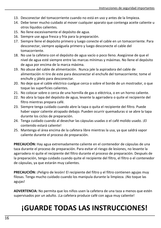- 13. Desconectar del tomacorriente cuando no está en uso y antes de la limpieza.
- 14. Debe tener mucho cuidado al mover cualquier aparato que contenga aceite caliente u otros líquidos calientes.
- 15. No llene excesivamente el depósito de agua.
- 16. Siempre use agua fresca y fría para la preparación.
- 17. Siempre llene el depósito primero y luego conecte el cable en un tomacorriente. Para desconectar, siempre apáguela primero y luego desconecte el cable del tomacorriente.
- 18. No use la cafetera con el depósito de agua vacío o poco lleno. Asegúrese de que el nivel de agua esté siempre entre las marcas mínimas y máximas. No llene el depósito de agua por encima de la marca máxima.
- 19. No abuse del cable de alimentación. Nunca jale la aspiradora del cable de alimentación ni tire de este para desconectar el enchufe del tomacorriente; tome el enchufe y jálelo para desconectar.
- 20. No deje que el cable eléctrico cuelgue cerca o sobre el borde de un mostrador, o que toque las superficies calientes.
- 21. No colocar sobre o cerca de una hornilla de gas o eléctrica, o en un horno caliente.
- 22. No abra la tapa del depósito de agua, levante la agarradera o quite el recipiente del filtro mientras prepara café.
- 23. Siempre tenga cuidado cuando abre la tapa o quita el recipiente del filtro. Puede haber vapor caliente atrapado debajo. Pueden ocurrir quemaduras si se abre la tapa durante los ciclos de preparación.
- 24. Tenga cuidado cuando al desechar las cápsulas usadas o el café molido usado. ¡El contenido estará caliente!
- 25. Mantenga el área encima de la cafetera libre mientras la usa, ya que saldrá vapor caliente durante el proceso de preparación.

**PRECAUCIÓN:** Hay agua extremadamente caliente en el contenedor de cápsulas de una taza durante el proceso de preparación. Para evitar el riesgo de lesiones, no levante la agarradera ni quite el recipiente del filtro durante el proceso de preparación. Después de la preparación, tenga cuidado cuando quite el recipiente del filtro, el filtro o el contenedor de cápsulas, ya que estarán muy calientes.

**PRECAUCIÓN:** ¡Peligro de lesión! El recipiente del filtro y el filtro contienen agujas muy filosas. Tenga mucho cuidado cuando los manipula durante la limpieza. ¡No toque las agujas!

**ADVERTENCIA:** No permita que los niños usen la cafetera de una taza a menos que estén supervisados por un adulto. ¡La cafetera produce café con agua muy caliente!

### **¡GUARDE TODAS LAS INSTRUCCIONES!**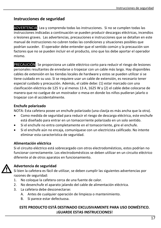#### **Instrucciones de seguridad**

ADVERTENCIA: Lea y comprenda todas las instrucciones. Si no se cumplen todas las instrucciones indicadas a continuación se pueden producir descargas eléctricas, incendios o lesiones graves. Las advertencias, precauciones e instrucciones que se detallan en este manual de instrucciones no cubren todas las condiciones y situaciones posibles que podrían suceder. El operador debe entender que el sentido común y la precaución son factores que no se pueden incluir en el producto, sino que los debe aportar el operador mismo.

PRECAUCIÓN: Se proporciona un cable eléctrico corto para reducir el riesgo de lesiones personales resultantes de enredarse o tropezar con un cable más largo. Hay disponibles cables de extensión en las tiendas locales de hardware y estos se pueden utilizar si se tiene cuidado en su uso. Si se requiere usar un cable de extensión, es necesario tener especial cuidado y precaución. Además, el cable debe: (1) estar marcado con una clasificación eléctrica de 125 V y al menos 13 A, 1625 W y (2) el cable debe colocarse de manera que no cuelgue de un mostrador o mesa en donde los niños pudieran jalarlo o tropezar con él accidentalmente.

#### **Enchufe polarizado**

NOTA: Esta cafetera posee un enchufe polarizado (una clavija es más ancha que la otra).

- Como medida de seguridad para reducir el riesgo de descarga eléctrica, este enchufe está diseñado para entrar en un tomacorriente polarizado en un solo sentido.
- Si el enchufe no entra completamente en el tomacorriente, gire el enchufe.
- Si el enchufe aún no encaja, comuníquese con un electricista calificado. No intente eliminar esta característica de seguridad.

#### **Alimentación eléctrica**

Si el circuito eléctrico está sobrecargado con otros electrodomésticos, estos podrían no funcionar correctamente. Los electrodomésticos se deben utilizar en un circuito eléctrico diferente al de otros aparatos en funcionamiento.

#### **Advertencia de seguridad**

Si bien la cafetera es fácil de utilizar, se deben cumplir las siguientes advertencias por razones de seguridad:

- 1. No coloque la cafetera cerca de una fuente de calor.
- 2. No desenchufe el aparato jalando del cable de alimentación eléctrica.
- 3. La cafetera debe desconectarse:
	- A. Antes de cualquier operación de limpieza o mantenimiento.
	- B. Si parece estar defectuosa.

#### **ESTE PRODUCTO ESTÁ DESTINADO EXCLUSIVAMENTE PARA USO DOMÉSTICO. ¡GUARDE ESTAS INSTRUCCIONES!**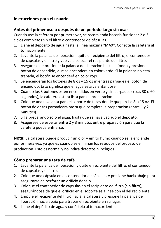#### **Instrucciones para el usuario**

#### **Antes del primer uso o después de un período largo sin usar**

Cuando use la cafetera por primera vez, se recomienda hacerla funcionar 2 o 3 ciclos completos sin el filtro o contenedor de cápsulas.

- 1. Llene el depósito de agua hasta la línea máxima "MAX". Conecte la cafetera al tomacorriente.
- 2. Levante la palanca de liberación, quite el recipiente del filtro, el contenedor de cápsulas y el filtro y vuelva a colocar el recipiente del filtro.
- 3. Asegúrese de presionar la palanca de liberación hasta el fondo y presione el botón de encendido, que se encenderá en color verde. Si la palanca no está trabada, el botón se encenderá en color rojo.
- 4. Se encenderán los botones de 8 oz y 15 oz mientras parpadea el botón de encendido. Esto significa que el agua está calentándose.
- 5. Cuando los 3 botones estén encendidos en verde y sin parpadear (tras 30 o 60 segundos), la cafetera estará lista para la preparación.
- 6. Coloque una taza apta para el soporte de tazas donde quepan las 8 o 15 oz. El botón de onzas parpadeará hasta que complete la preparación (entre 1 y 2 minutos).
- 7. Siga preparando solo el agua, hasta que se haya vaciado el depósito.
- 8. Asegúrese de esperar entre 2 y 3 minutos entre preparación para que la cafetera pueda enfriarse.

**Nota:** La cafetera puede producir un olor y emitir humo cuando se la enciende por primera vez, ya que es cuando se eliminan los residuos del proceso de producción. Esto es normal y no indica defectos ni peligros.

#### **Cómo preparar una taza de café**

- 1. Levante la palanca de liberación y quite el recipiente del filtro, el contenedor de cápsulas y el filtro.
- 2. Coloque una cápsula en el contenedor de cápsulas y presione hacia abajo para asegurarse de perforar un orificio debajo.
- 3. Coloque el contenedor de cápsulas en el recipiente del filtro (sin filtro), asegurándose de que el orificio en el soporte se alinee con el del recipiente.
- 4. Empuje el recipiente del filtro hacia la cafetera y presione la palanca de liberación hacia abajo para trabar el recipiente en su lugar.
- 5. Llene el depósito de agua y conéctelo al tomacorriente.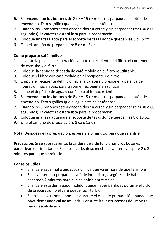- 6. Se encenderán los botones de 8 oz y 15 oz mientras parpadea el botón de encendido. Esto significa que el agua está calentándose.
- 7. Cuando los 3 botones estén encendidos en verde y sin parpadear (tras 30 o 60 segundos), la cafetera estará lista para la preparación.
- 8. Coloque una taza apta para el soporte de tazas donde quepan las 8 o 15 oz.
- 9. Elija el tamaño de preparación: 8 oz o 15 oz.

#### **Cómo preparar café molido**

- 1. Levante la palanca de liberación y quite el recipiente del filtro, el contenedor de cápsulas y el filtro.
- 2. Coloque la cantidad deseada de café molido en el filtro reutilizable.
- 3. Coloque el filtro con café molido en el recipiente del filtro.
- 4. Empuje el recipiente del filtro hacia la cafetera y presione la palanca de liberación hacia abajo para trabar el recipiente en su lugar.
- 5. Llene el depósito de agua y conéctelo al tomacorriente.
- 6. Se encenderán los botones de 8 oz y 15 oz mientras parpadea el botón de encendido. Esto significa que el agua está calentándose.
- 7. Cuando los 3 botones estén encendidos en verde y sin parpadear (tras 30 o 60 segundos), la cafetera estará lista para la preparación.
- 8. Coloqua una taza apta para el soporte de tazas donde quepan las 8 o 15 oz.
- 9. Elija el tamaño de preparación: 8 oz o 15 oz.

**Nota:** Después de la preparación, espere 2 a 3 minutos para que se enfríe.

**Precaución:** Si se sobrecalienta, la caldera deja de funcionar y los botones parpadean en simultáneo. Si esto sucede, desconecte la cafetera y espere 2 o 3 minutos para que se reinicie.

#### **Consejos útiles**

- Si el café sabe mal o aguado, significa que ya es hora de que la limpie
- Si la cafetera no prepara el café de inmediato, asegúrese de haber esperado 2 minutos para que se enfríe entre ciclos
- Si el café está demasiado molido, puede haber pérdidas durante el ciclo de preparación o el café puede lucir turbio
- Si no sale agua por la boquilla durante el ciclo de preparación, puede que haya demasiada cal acumulada. Consulte las instrucciones de limpieza para descalcificarla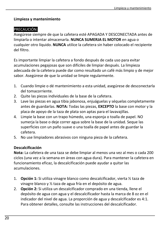#### **Limpieza y mantenimiento**

#### PRECAUCIÓN:

Asegúrese siempre de que la cafetera esté APAGADA Y DESCONECTADA antes de limpiarla o intentar almacenarla. **NUNCA SUMERJA EL MOTOR** en agua o cualquier otro líquido. **NUNCA** utilice la cafetera sin haber colocado el recipiente del filtro.

Es importante limpiar la cafetera a fondo después de cada uso para evitar acumulaciones pegajosas que son difíciles de limpiar después. La limpieza adecuada de la cafetera puede dar como resultado un café más limpio y de mejor sabor. Asegúrese de que la unidad se limpie regularmente.

- 1. Cuando limpie o dé mantenimiento a esta unidad, asegúrese de desconectarla del tomacorriente.
- 2. Quite las piezas individuales de la base de la cafetera.
- 3. Lave las piezas en agua tibia jabonosa, enjuáguelas y séquelas completamente antes de guardarlas. **NOTA:** Todas las piezas, **EXCEPTO** la base con motor y la placa de apoyo de la taza de plata son aptas para el lavavajillas.
- 4. Limpie la base con un trapo húmedo, una esponja o toalla de papel. NO sumeria la base o deje correr agua sobre la base de la unidad. Seque las superficies con un paño suave o una toalla de papel antes de guardar la cafetera.
- 5. No use limpiadores abrasivos con ninguna pieza de la cafetera.

#### **Descalcificación**

**Nota:** La cafetera de una taza se debe limpiar al menos una vez al mes o cada 200 ciclos (una vez a la semana en áreas con agua dura). Para mantener la cafetera en funcionamiento eficaz, la descalcificación puede ayudar a quitar las acumulaciones.

- 1. **Opción 1:** Si utiliza vinagre blanco como descalcificador, vierta ½ taza de vinagre blanco y ½ taza de agua fría en el depósito de agua.
- 2. **Opción 2:** Si utiliza un descalcificador comprado en una tienda, llene el depósito de agua con agua y el descalcificador hasta la marca de 8 oz en el indicador del nivel de agua. La proporción de agua y descalcificador es 4:1. Para obtener detalles, consulte las instrucciones del descalcificador.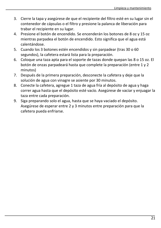- 3. Cierre la tapa y asegúrese de que el recipiente del filtro esté en su lugar sin el contenedor de cápsulas o el filtro y presione la palanca de liberación para trabar el recipiente en su lugar.
- 4. Presione el botón de encendido. Se encenderán los botones de 8 oz y 15 oz mientras parpadea el botón de encendido. Esto significa que el agua está calentándose.
- 5. Cuando los 3 botones estén encendidos y sin parpadear (tras 30 o 60 segundos), la cafetera estará lista para la preparación.
- 6. Coloque una taza apta para el soporte de tazas donde quepan las 8 o 15 oz. El botón de onzas parpadeará hasta que complete la preparación (entre 1 y 2 minutos)
- 7. Después de la primera preparación, desconecte la cafetera y deje que la solución de agua con vinagre se asiente por 30 minutos.
- 8. Conecte la cafetera, agregue 1 taza de agua fría al depósito de agua y haga correr agua hasta que el depósito esté vacío. Asegúrese de vaciar y enjuagar la taza entre cada preparación.
- 9. Siga preparando solo el agua, hasta que se haya vaciado el depósito. Asegúrese de esperar entre 2 y 3 minutos entre preparación para que la cafetera pueda enfriarse.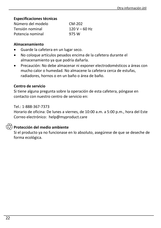#### **Especificaciones técnicas**

| Número del modelo | CM-202          |
|-------------------|-----------------|
| Tensión nominal   | $120 V - 60 Hz$ |
| Potencia nominal  | 975 W           |

#### **Almacenamiento**

- Guarde la cafetera en un lugar seco.
- No coloque artículos pesados encima de la cafetera durante el almacenamiento ya que podría dañarla.
- Precaución: No debe almacenar ni exponer electrodomésticos a áreas con mucho calor o humedad. No almacene la cafetera cerca de estufas, radiadores, hornos o en un baño o área de baño.

#### **Centro de servicio**

Si tiene alguna pregunta sobre la operación de esta cafetera, póngase en contacto con nuestro centro de servicio en:

#### Tel.: 1-888-367-7373

Horario de oficina: De lunes a viernes, de 10:00 a.m. a 5:00 p.m., hora del Este Correo electrónico: help@myproduct.care

#### **Protección del medio ambiente**

Si el producto ya no funcionase en lo absoluto, asegúrese de que se deseche de forma ecológica.